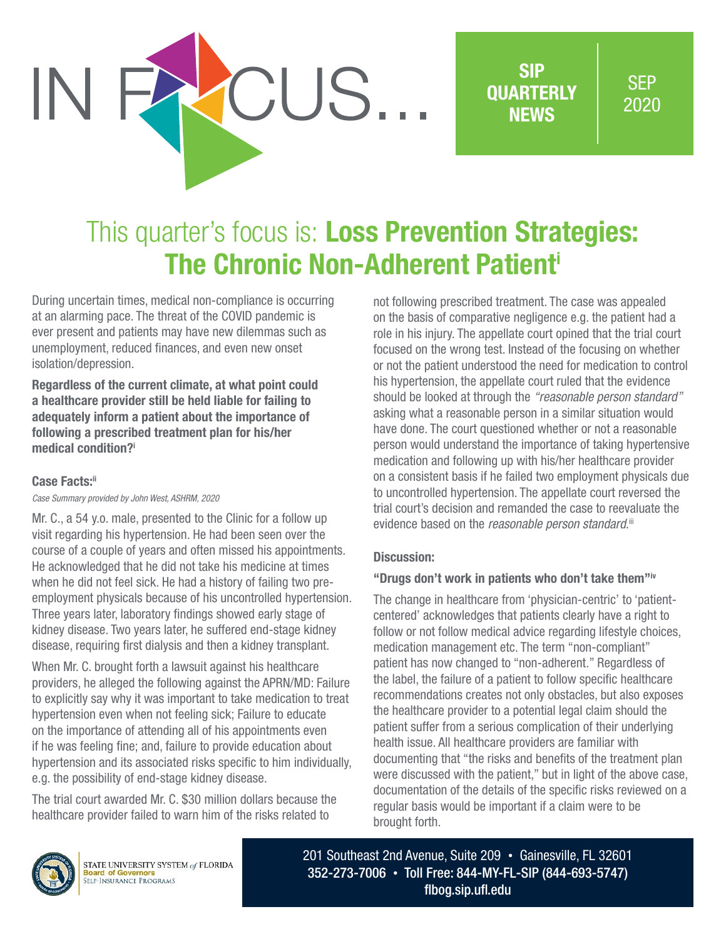

SIP **OUARTERLY NEWS** 

**SEP** 2020

# This quarter's focus is: Loss Prevention Strategies: The Chronic Non-Adherent Patienti

During uncertain times, medical non-compliance is occurring at an alarming pace. The threat of the COVID pandemic is ever present and patients may have new dilemmas such as unemployment, reduced finances, and even new onset isolation/depression.

Regardless of the current climate, at what point could a healthcare provider still be held liable for failing to adequately inform a patient about the importance of following a prescribed treatment plan for his/her medical condition?i

## **Case Facts:**ii

*Case Summary provided by John West, ASHRM, 2020*

Mr. C., a 54 y.o. male, presented to the Clinic for a follow up visit regarding his hypertension. He had been seen over the course of a couple of years and often missed his appointments. He acknowledged that he did not take his medicine at times when he did not feel sick. He had a history of failing two preemployment physicals because of his uncontrolled hypertension. Three years later, laboratory findings showed early stage of kidney disease. Two years later, he suffered end-stage kidney disease, requiring first dialysis and then a kidney transplant.

When Mr. C. brought forth a lawsuit against his healthcare providers, he alleged the following against the APRN/MD: Failure to explicitly say why it was important to take medication to treat hypertension even when not feeling sick; Failure to educate on the importance of attending all of his appointments even if he was feeling fine; and, failure to provide education about hypertension and its associated risks specific to him individually, e.g. the possibility of end-stage kidney disease.

The trial court awarded Mr. C. \$30 million dollars because the healthcare provider failed to warn him of the risks related to

not following prescribed treatment. The case was appealed on the basis of comparative negligence e.g. the patient had a role in his injury. The appellate court opined that the trial court focused on the wrong test. Instead of the focusing on whether or not the patient understood the need for medication to control his hypertension, the appellate court ruled that the evidence should be looked at through the *"reasonable person standard"* asking what a reasonable person in a similar situation would have done. The court questioned whether or not a reasonable person would understand the importance of taking hypertensive medication and following up with his/her healthcare provider on a consistent basis if he failed two employment physicals due to uncontrolled hypertension. The appellate court reversed the trial court's decision and remanded the case to reevaluate the evidence based on the *reasonable person standard*.<sup>iii</sup>

## Discussion:

## "Drugs don't work in patients who don't take them"iv

The change in healthcare from 'physician-centric' to 'patientcentered' acknowledges that patients clearly have a right to follow or not follow medical advice regarding lifestyle choices, medication management etc. The term "non-compliant" patient has now changed to "non-adherent." Regardless of the label, the failure of a patient to follow specific healthcare recommendations creates not only obstacles, but also exposes the healthcare provider to a potential legal claim should the patient suffer from a serious complication of their underlying health issue. All healthcare providers are familiar with documenting that "the risks and benefits of the treatment plan were discussed with the patient," but in light of the above case, documentation of the details of the specific risks reviewed on a regular basis would be important if a claim were to be brought forth.



STATE UNIVERSITY SYSTEM of FLORIDA **Board of Governors**<br>SELF-INSURANCE PROGRAMS

201 Southeast 2nd Avenue, Suite 209 • Gainesville, FL 32601 352-273-7006 • Toll Free: 844-MY-FL-SIP (844-693-5747) [flbog.sip.ufl.edu](http://flbog.sip.ufl.edu)